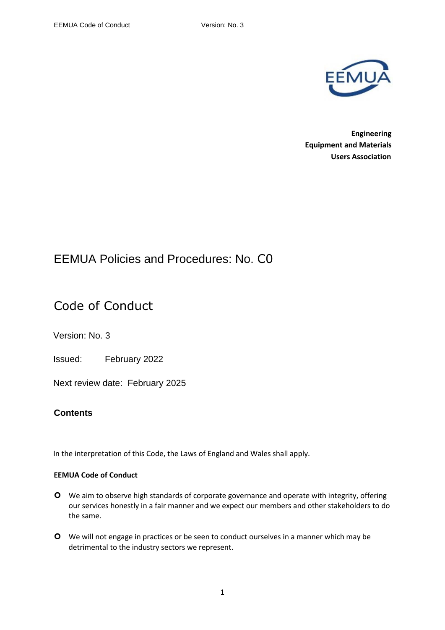

**Engineering Equipment and Materials Users Association**

## EEMUA Policies and Procedures: No. C0

# Code of Conduct

Version: No. 3

Issued: February 2022

Next review date: February 2025

### **Contents**

In the interpretation of this Code, the Laws of England and Wales shall apply.

### **EEMUA Code of Conduct**

- We aim to observe high standards of corporate governance and operate with integrity, offering our services honestly in a fair manner and we expect our members and other stakeholders to do the same.
- We will not engage in practices or be seen to conduct ourselves in a manner which may be detrimental to the industry sectors we represent.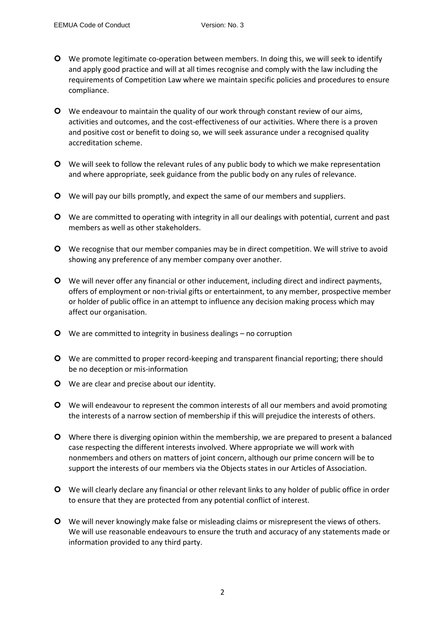- We promote legitimate co-operation between members. In doing this, we will seek to identify and apply good practice and will at all times recognise and comply with the law including the requirements of Competition Law where we maintain specific policies and procedures to ensure compliance.
- We endeavour to maintain the quality of our work through constant review of our aims, activities and outcomes, and the cost-effectiveness of our activities. Where there is a proven and positive cost or benefit to doing so, we will seek assurance under a recognised quality accreditation scheme.
- We will seek to follow the relevant rules of any public body to which we make representation and where appropriate, seek guidance from the public body on any rules of relevance.
- We will pay our bills promptly, and expect the same of our members and suppliers.
- We are committed to operating with integrity in all our dealings with potential, current and past members as well as other stakeholders.
- We recognise that our member companies may be in direct competition. We will strive to avoid showing any preference of any member company over another.
- We will never offer any financial or other inducement, including direct and indirect payments, offers of employment or non-trivial gifts or entertainment, to any member, prospective member or holder of public office in an attempt to influence any decision making process which may affect our organisation.
- We are committed to integrity in business dealings no corruption
- O We are committed to proper record-keeping and transparent financial reporting; there should be no deception or mis-information
- **O** We are clear and precise about our identity.
- We will endeavour to represent the common interests of all our members and avoid promoting the interests of a narrow section of membership if this will prejudice the interests of others.
- **O** Where there is diverging opinion within the membership, we are prepared to present a balanced case respecting the different interests involved. Where appropriate we will work with nonmembers and others on matters of joint concern, although our prime concern will be to support the interests of our members via the Objects states in our Articles of Association.
- We will clearly declare any financial or other relevant links to any holder of public office in order to ensure that they are protected from any potential conflict of interest.
- We will never knowingly make false or misleading claims or misrepresent the views of others. We will use reasonable endeavours to ensure the truth and accuracy of any statements made or information provided to any third party.